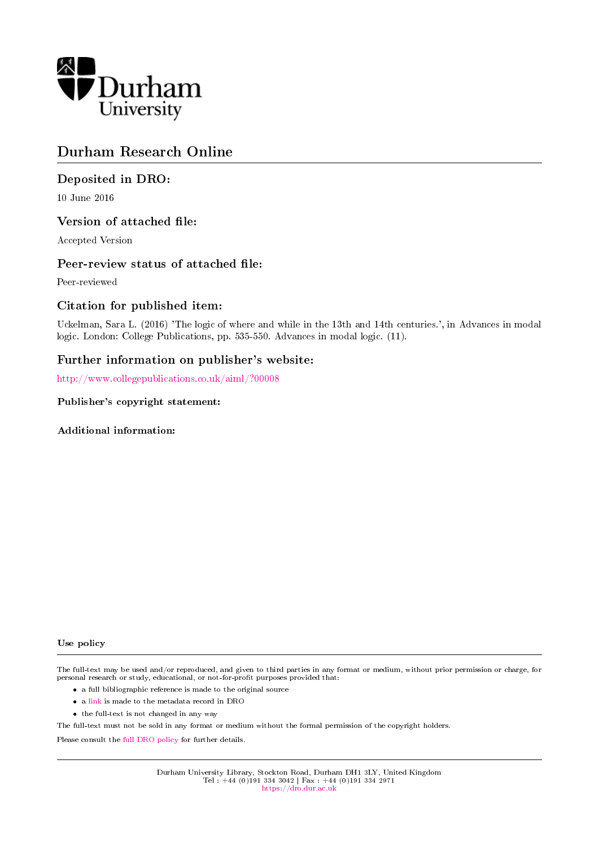

# Durham Research Online

# Deposited in DRO:

10 June 2016

# Version of attached file:

Accepted Version

# Peer-review status of attached file:

Peer-reviewed

# Citation for published item:

Uckelman, Sara L. (2016) 'The logic of where and while in the 13th and 14th centuries.', in Advances in modal logic. London: College Publications, pp. 535-550. Advances in modal logic. (11).

# Further information on publisher's website:

<http://www.collegepublications.co.uk/aiml/?00008>

# Publisher's copyright statement:

Additional information:

#### Use policy

The full-text may be used and/or reproduced, and given to third parties in any format or medium, without prior permission or charge, for personal research or study, educational, or not-for-profit purposes provided that:

- a full bibliographic reference is made to the original source
- a [link](http://dro.dur.ac.uk/18972/) is made to the metadata record in DRO
- the full-text is not changed in any way

The full-text must not be sold in any format or medium without the formal permission of the copyright holders.

Please consult the [full DRO policy](https://dro.dur.ac.uk/policies/usepolicy.pdf) for further details.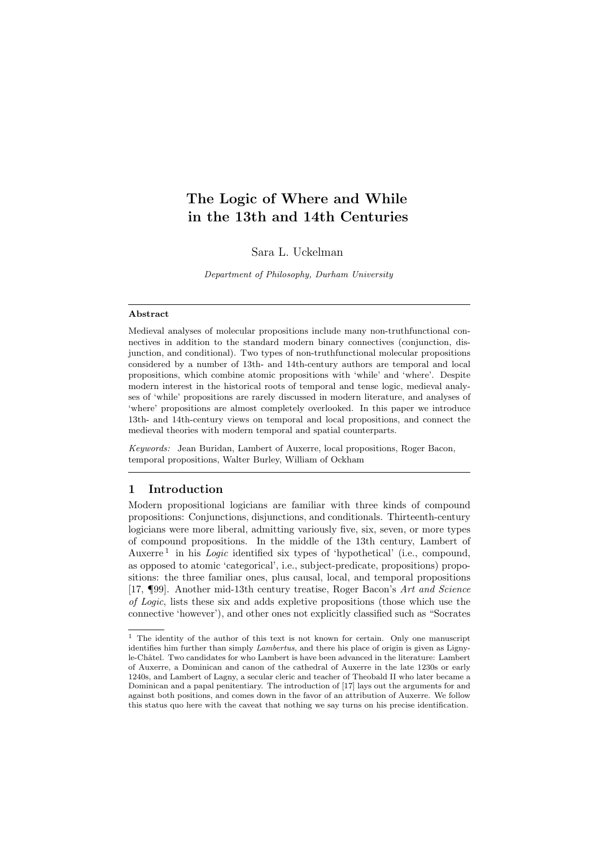# The Logic of Where and While in the 13th and 14th Centuries

Sara L. Uckelman

Department of Philosophy, Durham University

#### Abstract

Medieval analyses of molecular propositions include many non-truthfunctional connectives in addition to the standard modern binary connectives (conjunction, disjunction, and conditional). Two types of non-truthfunctional molecular propositions considered by a number of 13th- and 14th-century authors are temporal and local propositions, which combine atomic propositions with 'while' and 'where'. Despite modern interest in the historical roots of temporal and tense logic, medieval analyses of 'while' propositions are rarely discussed in modern literature, and analyses of 'where' propositions are almost completely overlooked. In this paper we introduce 13th- and 14th-century views on temporal and local propositions, and connect the medieval theories with modern temporal and spatial counterparts.

Keywords: Jean Buridan, Lambert of Auxerre, local propositions, Roger Bacon, temporal propositions, Walter Burley, William of Ockham

#### 1 Introduction

Modern propositional logicians are familiar with three kinds of compound propositions: Conjunctions, disjunctions, and conditionals. Thirteenth-century logicians were more liberal, admitting variously five, six, seven, or more types of compound propositions. In the middle of the 13th century, Lambert of Auxerre<sup>[1](#page-1-0)</sup> in his *Logic* identified six types of 'hypothetical' (i.e., compound, as opposed to atomic 'categorical', i.e., subject-predicate, propositions) propositions: the three familiar ones, plus causal, local, and temporal propositions [\[17,](#page-16-0) ¶99]. Another mid-13th century treatise, Roger Bacon's Art and Science of Logic, lists these six and adds expletive propositions (those which use the connective 'however'), and other ones not explicitly classified such as "Socrates

<span id="page-1-0"></span><sup>1</sup> The identity of the author of this text is not known for certain. Only one manuscript identifies him further than simply Lambertus, and there his place of origin is given as Lignyle-Châtel. Two candidates for who Lambert is have been advanced in the literature: Lambert of Auxerre, a Dominican and canon of the cathedral of Auxerre in the late 1230s or early 1240s, and Lambert of Lagny, a secular cleric and teacher of Theobald II who later became a Dominican and a papal penitentiary. The introduction of [\[17\]](#page-16-0) lays out the arguments for and against both positions, and comes down in the favor of an attribution of Auxerre. We follow this status quo here with the caveat that nothing we say turns on his precise identification.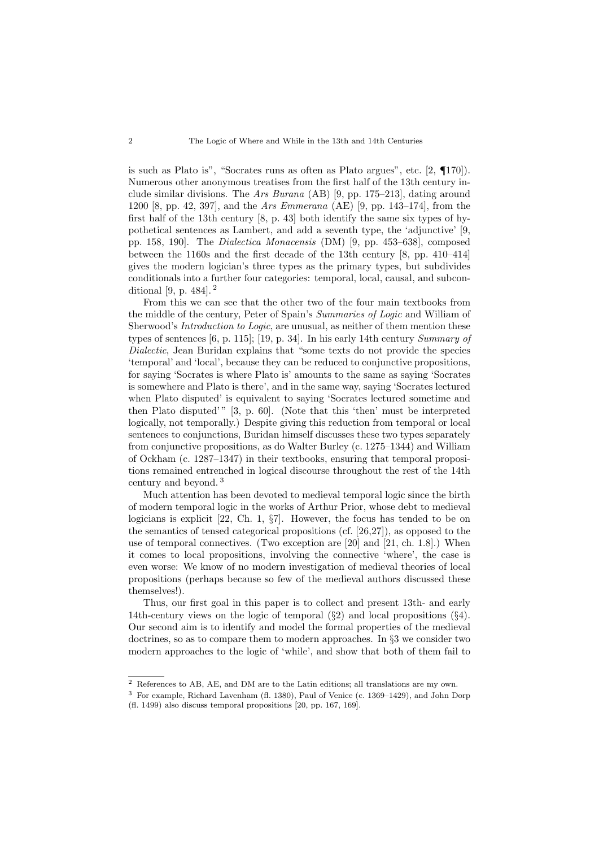is such as Plato is", "Socrates runs as often as Plato argues", etc. [\[2,](#page-15-0) ¶170]). Numerous other anonymous treatises from the first half of the 13th century include similar divisions. The Ars Burana (AB) [\[9,](#page-15-1) pp. 175–213], dating around 1200 [\[8,](#page-15-2) pp. 42, 397], and the Ars Emmerana (AE) [\[9,](#page-15-1) pp. 143–174], from the first half of the 13th century [\[8,](#page-15-2) p. 43] both identify the same six types of hypothetical sentences as Lambert, and add a seventh type, the 'adjunctive' [\[9,](#page-15-1) pp. 158, 190]. The Dialectica Monacensis (DM) [\[9,](#page-15-1) pp. 453–638], composed between the 1160s and the first decade of the 13th century [\[8,](#page-15-2) pp. 410–414] gives the modern logician's three types as the primary types, but subdivides conditionals into a further four categories: temporal, local, causal, and subconditional [\[9,](#page-15-1) p. 484]. [2](#page-2-0)

From this we can see that the other two of the four main textbooks from the middle of the century, Peter of Spain's Summaries of Logic and William of Sherwood's Introduction to Logic, are unusual, as neither of them mention these types of sentences [\[6,](#page-15-3) p. 115]; [\[19,](#page-16-1) p. 34]. In his early 14th century Summary of Dialectic, Jean Buridan explains that "some texts do not provide the species 'temporal' and 'local', because they can be reduced to conjunctive propositions, for saying 'Socrates is where Plato is' amounts to the same as saying 'Socrates is somewhere and Plato is there', and in the same way, saying 'Socrates lectured when Plato disputed' is equivalent to saying 'Socrates lectured sometime and then Plato disputed'" [\[3,](#page-15-4) p. 60]. (Note that this 'then' must be interpreted logically, not temporally.) Despite giving this reduction from temporal or local sentences to conjunctions, Buridan himself discusses these two types separately from conjunctive propositions, as do Walter Burley (c. 1275–1344) and William of Ockham (c. 1287–1347) in their textbooks, ensuring that temporal propositions remained entrenched in logical discourse throughout the rest of the 14th century and beyond. [3](#page-2-1)

Much attention has been devoted to medieval temporal logic since the birth of modern temporal logic in the works of Arthur Prior, whose debt to medieval logicians is explicit [\[22,](#page-16-2) Ch. 1, §7]. However, the focus has tended to be on the semantics of tensed categorical propositions (cf. [\[26,](#page-16-3)[27\]](#page-16-4)), as opposed to the use of temporal connectives. (Two exception are [\[20\]](#page-16-5) and [\[21,](#page-16-6) ch. 1.8].) When it comes to local propositions, involving the connective 'where', the case is even worse: We know of no modern investigation of medieval theories of local propositions (perhaps because so few of the medieval authors discussed these themselves!).

Thus, our first goal in this paper is to collect and present 13th- and early 14th-century views on the logic of temporal (§[2\)](#page-3-0) and local propositions (§[4\)](#page-10-0). Our second aim is to identify and model the formal properties of the medieval doctrines, so as to compare them to modern approaches. In §[3](#page-5-0) we consider two modern approaches to the logic of 'while', and show that both of them fail to

<span id="page-2-0"></span><sup>2</sup> References to AB, AE, and DM are to the Latin editions; all translations are my own.

<span id="page-2-1"></span><sup>3</sup> For example, Richard Lavenham (fl. 1380), Paul of Venice (c. 1369–1429), and John Dorp (fl. 1499) also discuss temporal propositions [\[20,](#page-16-5) pp. 167, 169].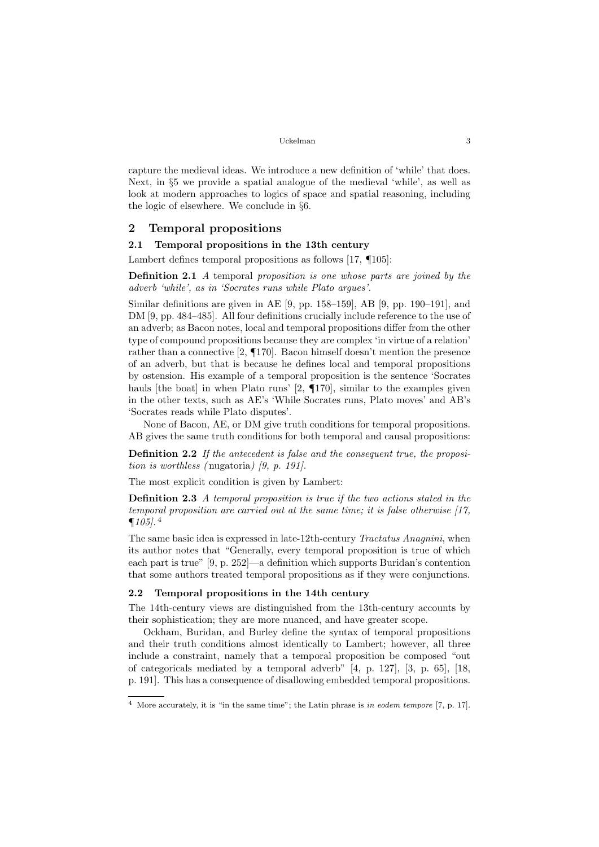capture the medieval ideas. We introduce a new definition of 'while' that does. Next, in §[5](#page-11-0) we provide a spatial analogue of the medieval 'while', as well as look at modern approaches to logics of space and spatial reasoning, including the logic of elsewhere. We conclude in §[6.](#page-14-0)

### <span id="page-3-0"></span>2 Temporal propositions

#### 2.1 Temporal propositions in the 13th century

Lambert defines temporal propositions as follows [\[17,](#page-16-0) ¶105]:

Definition 2.1 A temporal proposition is one whose parts are joined by the adverb 'while', as in 'Socrates runs while Plato argues'.

Similar definitions are given in AE [\[9,](#page-15-1) pp. 158–159], AB [\[9,](#page-15-1) pp. 190–191], and DM [\[9,](#page-15-1) pp. 484–485]. All four definitions crucially include reference to the use of an adverb; as Bacon notes, local and temporal propositions differ from the other type of compound propositions because they are complex 'in virtue of a relation' rather than a connective [\[2,](#page-15-0) ¶170]. Bacon himself doesn't mention the presence of an adverb, but that is because he defines local and temporal propositions by ostension. His example of a temporal proposition is the sentence 'Socrates hauls [the boat] in when Plato runs' [\[2,](#page-15-0)  $\P$ 170], similar to the examples given in the other texts, such as AE's 'While Socrates runs, Plato moves' and AB's 'Socrates reads while Plato disputes'.

None of Bacon, AE, or DM give truth conditions for temporal propositions. AB gives the same truth conditions for both temporal and causal propositions:

Definition 2.2 If the antecedent is false and the consequent true, the proposition is worthless (nugatoria)  $(9, p. 191)$ .

The most explicit condition is given by Lambert:

Definition 2.3 A temporal proposition is true if the two actions stated in the temporal proposition are carried out at the same time; it is false otherwise [\[17,](#page-16-0)  $\P 105$ .<sup>[4](#page-3-1)</sup>

The same basic idea is expressed in late-12th-century Tractatus Anagnini, when its author notes that "Generally, every temporal proposition is true of which each part is true" [\[9,](#page-15-1) p. 252]—a definition which supports Buridan's contention that some authors treated temporal propositions as if they were conjunctions.

#### 2.2 Temporal propositions in the 14th century

The 14th-century views are distinguished from the 13th-century accounts by their sophistication; they are more nuanced, and have greater scope.

Ockham, Buridan, and Burley define the syntax of temporal propositions and their truth conditions almost identically to Lambert; however, all three include a constraint, namely that a temporal proposition be composed "out of categoricals mediated by a temporal adverb" [\[4,](#page-15-5) p. 127], [\[3,](#page-15-4) p. 65], [\[18,](#page-16-7) p. 191]. This has a consequence of disallowing embedded temporal propositions.

<span id="page-3-1"></span><sup>4</sup> More accurately, it is "in the same time"; the Latin phrase is in eodem tempore [\[7,](#page-15-6) p. 17].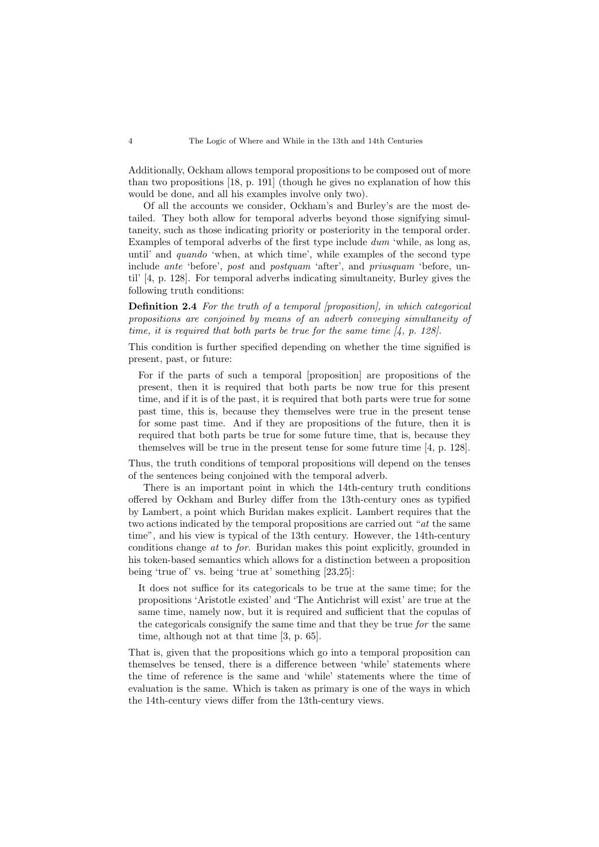Additionally, Ockham allows temporal propositions to be composed out of more than two propositions [\[18,](#page-16-7) p. 191] (though he gives no explanation of how this would be done, and all his examples involve only two).

Of all the accounts we consider, Ockham's and Burley's are the most detailed. They both allow for temporal adverbs beyond those signifying simultaneity, such as those indicating priority or posteriority in the temporal order. Examples of temporal adverbs of the first type include dum 'while, as long as, until' and quando 'when, at which time', while examples of the second type include ante 'before', post and postquam 'after', and priusquam 'before, until' [\[4,](#page-15-5) p. 128]. For temporal adverbs indicating simultaneity, Burley gives the following truth conditions:

Definition 2.4 For the truth of a temporal [proposition], in which categorical propositions are conjoined by means of an adverb conveying simultaneity of time, it is required that both parts be true for the same time  $\mathcal{A}$ , p. 128.

This condition is further specified depending on whether the time signified is present, past, or future:

For if the parts of such a temporal [proposition] are propositions of the present, then it is required that both parts be now true for this present time, and if it is of the past, it is required that both parts were true for some past time, this is, because they themselves were true in the present tense for some past time. And if they are propositions of the future, then it is required that both parts be true for some future time, that is, because they themselves will be true in the present tense for some future time [\[4,](#page-15-5) p. 128].

Thus, the truth conditions of temporal propositions will depend on the tenses of the sentences being conjoined with the temporal adverb.

There is an important point in which the 14th-century truth conditions offered by Ockham and Burley differ from the 13th-century ones as typified by Lambert, a point which Buridan makes explicit. Lambert requires that the two actions indicated by the temporal propositions are carried out "at the same time", and his view is typical of the 13th century. However, the 14th-century conditions change at to for. Buridan makes this point explicitly, grounded in his token-based semantics which allows for a distinction between a proposition being 'true of' vs. being 'true at' something [\[23](#page-16-8)[,25\]](#page-16-9):

It does not suffice for its categoricals to be true at the same time; for the propositions 'Aristotle existed' and 'The Antichrist will exist' are true at the same time, namely now, but it is required and sufficient that the copulas of the categoricals consignify the same time and that they be true for the same time, although not at that time [\[3,](#page-15-4) p. 65].

That is, given that the propositions which go into a temporal proposition can themselves be tensed, there is a difference between 'while' statements where the time of reference is the same and 'while' statements where the time of evaluation is the same. Which is taken as primary is one of the ways in which the 14th-century views differ from the 13th-century views.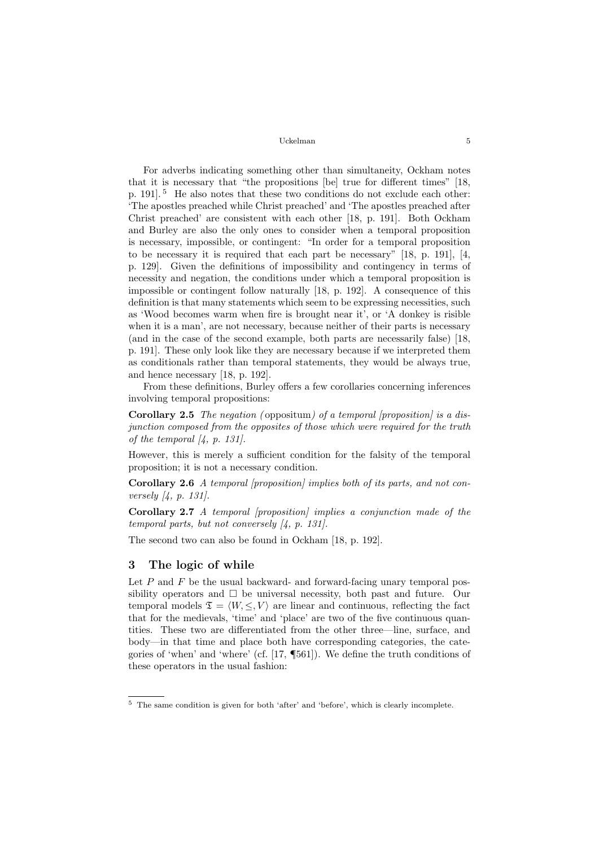For adverbs indicating something other than simultaneity, Ockham notes that it is necessary that "the propositions [be] true for different times" [\[18,](#page-16-7) p. 191]. [5](#page-5-1) He also notes that these two conditions do not exclude each other: 'The apostles preached while Christ preached' and 'The apostles preached after Christ preached' are consistent with each other [\[18,](#page-16-7) p. 191]. Both Ockham and Burley are also the only ones to consider when a temporal proposition is necessary, impossible, or contingent: "In order for a temporal proposition to be necessary it is required that each part be necessary" [\[18,](#page-16-7) p. 191], [\[4,](#page-15-5) p. 129]. Given the definitions of impossibility and contingency in terms of necessity and negation, the conditions under which a temporal proposition is impossible or contingent follow naturally [\[18,](#page-16-7) p. 192]. A consequence of this definition is that many statements which seem to be expressing necessities, such as 'Wood becomes warm when fire is brought near it', or 'A donkey is risible when it is a man', are not necessary, because neither of their parts is necessary (and in the case of the second example, both parts are necessarily false) [\[18,](#page-16-7) p. 191]. These only look like they are necessary because if we interpreted them as conditionals rather than temporal statements, they would be always true, and hence necessary [\[18,](#page-16-7) p. 192].

From these definitions, Burley offers a few corollaries concerning inferences involving temporal propositions:

**Corollary 2.5** The negation (oppositum) of a temporal [proposition] is a disjunction composed from the opposites of those which were required for the truth of the temporal  $\mathcal{A}$ , p. 131.

However, this is merely a sufficient condition for the falsity of the temporal proposition; it is not a necessary condition.

Corollary 2.6 A temporal [proposition] implies both of its parts, and not conversely [\[4,](#page-15-5) p. 131].

Corollary 2.7 A temporal [proposition] implies a conjunction made of the temporal parts, but not conversely [\[4,](#page-15-5) p. 131].

The second two can also be found in Ockham [\[18,](#page-16-7) p. 192].

# <span id="page-5-0"></span>3 The logic of while

Let  $P$  and  $F$  be the usual backward- and forward-facing unary temporal possibility operators and  $\Box$  be universal necessity, both past and future. Our temporal models  $\mathfrak{T} = \langle W, \leq, V \rangle$  are linear and continuous, reflecting the fact that for the medievals, 'time' and 'place' are two of the five continuous quantities. These two are differentiated from the other three—line, surface, and body—in that time and place both have corresponding categories, the categories of 'when' and 'where' (cf. [\[17,](#page-16-0) ¶561]). We define the truth conditions of these operators in the usual fashion:

<span id="page-5-2"></span><span id="page-5-1"></span><sup>5</sup> The same condition is given for both 'after' and 'before', which is clearly incomplete.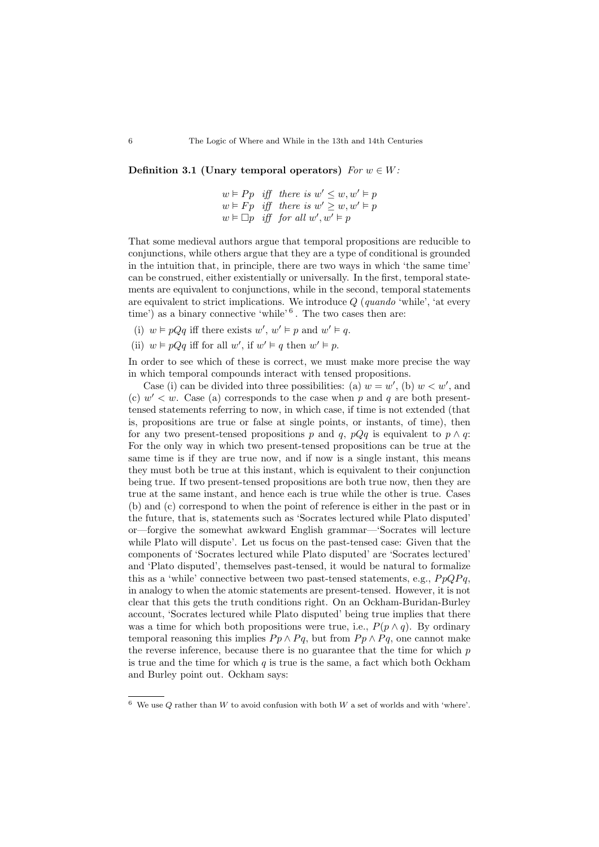Definition 3.1 (Unary temporal operators)  $For w \in W$ :

$$
w \vDash Pp \quad \text{iff} \quad \text{there is } w' \leq w, w' \vDash p
$$
\n
$$
w \vDash Fp \quad \text{iff} \quad \text{there is } w' \geq w, w' \vDash p
$$
\n
$$
w \vDash \Box p \quad \text{iff} \quad \text{for all } w', w' \vDash p
$$

That some medieval authors argue that temporal propositions are reducible to conjunctions, while others argue that they are a type of conditional is grounded in the intuition that, in principle, there are two ways in which 'the same time' can be construed, either existentially or universally. In the first, temporal statements are equivalent to conjunctions, while in the second, temporal statements are equivalent to strict implications. We introduce  $Q$  (quando 'while', 'at every time') as a binary connective 'while'  $6$ . The two cases then are:

- (i)  $w \models pQq$  iff there exists  $w', w' \models p$  and  $w' \models q$ .
- (ii)  $w \models pQq$  iff for all w', if  $w' \models q$  then  $w' \models p$ .

In order to see which of these is correct, we must make more precise the way in which temporal compounds interact with tensed propositions.

Case (i) can be divided into three possibilities: (a)  $w = w'$ , (b)  $w < w'$ , and (c)  $w' < w$ . Case (a) corresponds to the case when p and q are both presenttensed statements referring to now, in which case, if time is not extended (that is, propositions are true or false at single points, or instants, of time), then for any two present-tensed propositions p and q, p $Qq$  is equivalent to  $p \wedge q$ : For the only way in which two present-tensed propositions can be true at the same time is if they are true now, and if now is a single instant, this means they must both be true at this instant, which is equivalent to their conjunction being true. If two present-tensed propositions are both true now, then they are true at the same instant, and hence each is true while the other is true. Cases (b) and (c) correspond to when the point of reference is either in the past or in the future, that is, statements such as 'Socrates lectured while Plato disputed' or—forgive the somewhat awkward English grammar—'Socrates will lecture while Plato will dispute'. Let us focus on the past-tensed case: Given that the components of 'Socrates lectured while Plato disputed' are 'Socrates lectured' and 'Plato disputed', themselves past-tensed, it would be natural to formalize this as a 'while' connective between two past-tensed statements, e.g.,  $P_pQPq$ , in analogy to when the atomic statements are present-tensed. However, it is not clear that this gets the truth conditions right. On an Ockham-Buridan-Burley account, 'Socrates lectured while Plato disputed' being true implies that there was a time for which both propositions were true, i.e.,  $P(p \wedge q)$ . By ordinary temporal reasoning this implies  $P_p \wedge P_q$ , but from  $P_p \wedge P_q$ , one cannot make the reverse inference, because there is no guarantee that the time for which  $p$ is true and the time for which  $q$  is true is the same, a fact which both Ockham and Burley point out. Ockham says:

<span id="page-6-0"></span> $^6\,$  We use  $Q$  rather than  $W$  to avoid confusion with both  $W$  a set of worlds and with 'where'.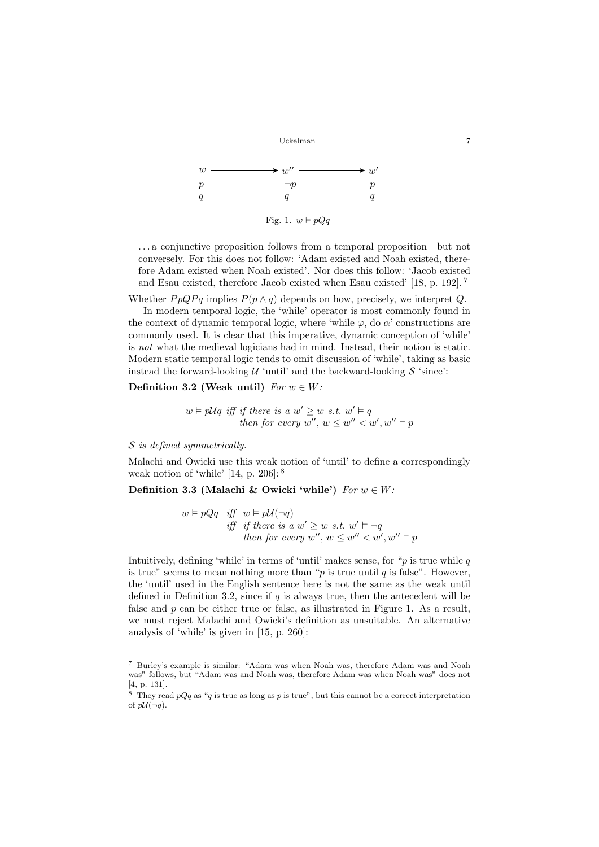<span id="page-7-3"></span>

. . . a conjunctive proposition follows from a temporal proposition—but not conversely. For this does not follow: 'Adam existed and Noah existed, therefore Adam existed when Noah existed'. Nor does this follow: 'Jacob existed and Esau existed, therefore Jacob existed when Esau existed' [\[18,](#page-16-7) p. 192]. [7](#page-7-0)

Whether  $P p Q P q$  implies  $P(p \wedge q)$  depends on how, precisely, we interpret Q.

In modern temporal logic, the 'while' operator is most commonly found in the context of dynamic temporal logic, where 'while  $\varphi$ , do  $\alpha$ ' constructions are commonly used. It is clear that this imperative, dynamic conception of 'while' is not what the medieval logicians had in mind. Instead, their notion is static. Modern static temporal logic tends to omit discussion of 'while', taking as basic instead the forward-looking  $U$  'until' and the backward-looking  $S$  'since':

Definition 3.2 (Weak until)  $For w \in W$ :

<span id="page-7-2"></span> $w \models p\mathcal{U}q$  iff if there is a  $w' \geq w$  s.t.  $w' \models q$ then for every  $w''$ ,  $w \leq w'' < w'$ ,  $w'' \vDash p$ 

S is defined symmetrically.

Malachi and Owicki use this weak notion of 'until' to define a correspondingly weak notion of 'while' [\[14,](#page-16-10) p. 206]: [8](#page-7-1)

Definition 3.3 (Malachi & Owicki 'while')  $For w \in W$ :

<span id="page-7-4"></span> $w \vDash pQq$  iff  $w \vDash p\mathcal{U}(\neg q)$ iff if there is a  $w' \geq w$  s.t.  $w' \vDash \neg q$ then for every  $w''$ ,  $w \leq w'' < w'$ ,  $w'' \vDash p$ 

Intuitively, defining 'while' in terms of 'until' makes sense, for " $p$  is true while  $q$ is true" seems to mean nothing more than " $p$  is true until  $q$  is false". However, the 'until' used in the English sentence here is not the same as the weak until defined in Definition [3.2,](#page-7-2) since if  $q$  is always true, then the antecedent will be false and  $p$  can be either true or false, as illustrated in Figure [1.](#page-7-3) As a result, we must reject Malachi and Owicki's definition as unsuitable. An alternative analysis of 'while' is given in [\[15,](#page-16-11) p. 260]:

<span id="page-7-0"></span><sup>7</sup> Burley's example is similar: "Adam was when Noah was, therefore Adam was and Noah was" follows, but "Adam was and Noah was, therefore Adam was when Noah was" does not [\[4,](#page-15-5) p. 131].

<span id="page-7-1"></span><sup>&</sup>lt;sup>8</sup> They read  $pQq$  as "q is true as long as p is true", but this cannot be a correct interpretation of  $p\mathcal{U}(\neg q)$ .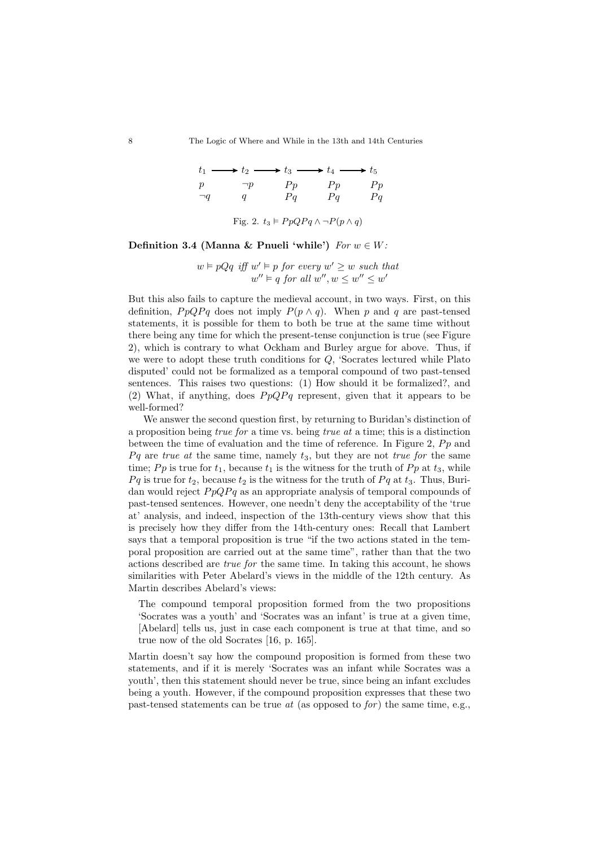8 The Logic of Where and While in the 13th and 14th Centuries

 $\rightarrow t_2 \longrightarrow t_3 \longrightarrow t_4$ p  $\neg q$  $\neg p$ q  $P_p$  $Pq$  $P_p$  $Pq$  $P_p$  $Pq$ 

<span id="page-8-0"></span>Fig. 2. 
$$
t_3 \models PpQPq \land \neg P(p \land q)
$$

Definition 3.4 (Manna & Pnueli 'while')  $For w \in W$ :

 $w \models pQq$  iff  $w' \models p$  for every  $w' \geq w$  such that  $w'' \vDash q$  for all  $w'', w \leq w'' \leq w'$ 

But this also fails to capture the medieval account, in two ways. First, on this definition,  $P p Q P q$  does not imply  $P(p \wedge q)$ . When p and q are past-tensed statements, it is possible for them to both be true at the same time without there being any time for which the present-tense conjunction is true (see Figure [2\)](#page-8-0), which is contrary to what Ockham and Burley argue for above. Thus, if we were to adopt these truth conditions for Q, 'Socrates lectured while Plato disputed' could not be formalized as a temporal compound of two past-tensed sentences. This raises two questions: (1) How should it be formalized?, and (2) What, if anything, does  $P p Q P q$  represent, given that it appears to be well-formed?

We answer the second question first, by returning to Buridan's distinction of a proposition being *true for* a time vs. being *true at* a time; this is a distinction between the time of evaluation and the time of reference. In Figure [2,](#page-8-0)  $P_p$  and  $Pq$  are true at the same time, namely  $t_3$ , but they are not true for the same time; Pp is true for  $t_1$ , because  $t_1$  is the witness for the truth of Pp at  $t_3$ , while  $Pq$  is true for  $t_2$ , because  $t_2$  is the witness for the truth of  $Pq$  at  $t_3$ . Thus, Buridan would reject  $P p Q P q$  as an appropriate analysis of temporal compounds of past-tensed sentences. However, one needn't deny the acceptability of the 'true at' analysis, and indeed, inspection of the 13th-century views show that this is precisely how they differ from the 14th-century ones: Recall that Lambert says that a temporal proposition is true "if the two actions stated in the temporal proposition are carried out at the same time", rather than that the two actions described are true for the same time. In taking this account, he shows similarities with Peter Abelard's views in the middle of the 12th century. As Martin describes Abelard's views:

The compound temporal proposition formed from the two propositions 'Socrates was a youth' and 'Socrates was an infant' is true at a given time, [Abelard] tells us, just in case each component is true at that time, and so true now of the old Socrates [\[16,](#page-16-12) p. 165].

Martin doesn't say how the compound proposition is formed from these two statements, and if it is merely 'Socrates was an infant while Socrates was a youth', then this statement should never be true, since being an infant excludes being a youth. However, if the compound proposition expresses that these two past-tensed statements can be true  $at$  (as opposed to for) the same time, e.g.,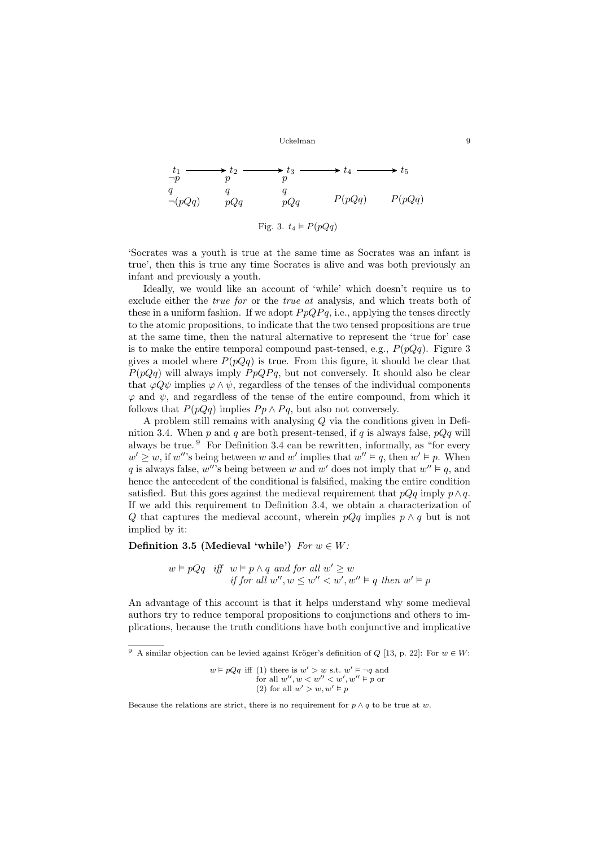$$
t_1 \longrightarrow t_2 \longrightarrow t_3 \longrightarrow t_4 \longrightarrow t_5
$$
  
\n
$$
\begin{array}{ccc}\nq & q & q \\
\neg(pQq) & pQq & pQq & P(pQq) & P(pQq)\n\end{array}
$$

<span id="page-9-0"></span>Fig. 3.  $t_4 \models P(pQq)$ 

'Socrates was a youth is true at the same time as Socrates was an infant is true', then this is true any time Socrates is alive and was both previously an infant and previously a youth.

Ideally, we would like an account of 'while' which doesn't require us to exclude either the true for or the true at analysis, and which treats both of these in a uniform fashion. If we adopt  $P p Q P q$ , i.e., applying the tenses directly to the atomic propositions, to indicate that the two tensed propositions are true at the same time, then the natural alternative to represent the 'true for' case is to make the entire temporal compound past-tensed, e.g.,  $P(pQq)$ . Figure [3](#page-9-0) gives a model where  $P(pQq)$  is true. From this figure, it should be clear that  $P(pQq)$  will always imply  $PpQPq$ , but not conversely. It should also be clear that  $\varphi Q \psi$  implies  $\varphi \wedge \psi$ , regardless of the tenses of the individual components  $\varphi$  and  $\psi$ , and regardless of the tense of the entire compound, from which it follows that  $P(pQq)$  implies  $Pp \wedge Pq$ , but also not conversely.

A problem still remains with analysing Q via the conditions given in Defi-nition [3.4.](#page-7-4) When p and q are both present-tensed, if q is always false,  $pQq$  will always be true. [9](#page-9-1) For Definition [3.4](#page-7-4) can be rewritten, informally, as "for every  $w' \geq w$ , if w''s being between w and w' implies that  $w'' \vDash q$ , then  $w' \vDash p$ . When q is always false, w''s being between w and w' does not imply that  $w'' \models q$ , and hence the antecedent of the conditional is falsified, making the entire condition satisfied. But this goes against the medieval requirement that  $pQq$  imply  $p \wedge q$ . If we add this requirement to Definition [3.4,](#page-7-4) we obtain a characterization of Q that captures the medieval account, wherein  $pQq$  implies  $p \wedge q$  but is not implied by it:

### Definition 3.5 (Medieval 'while')  $For w \in W$ :

<span id="page-9-2"></span> $w \models pQq$  iff  $w \models p \land q$  and for all  $w' \geq w$ if for all  $w'', w \leq w'' < w', w'' \vDash q$  then  $w' \vDash p$ 

An advantage of this account is that it helps understand why some medieval authors try to reduce temporal propositions to conjunctions and others to implications, because the truth conditions have both conjunctive and implicative

<span id="page-9-1"></span><sup>&</sup>lt;sup>9</sup> A similar objection can be levied against Kröger's definition of Q [\[13,](#page-16-13) p. 22]: For  $w \in W$ :

 $w \models pQq$  iff (1) there is  $w' > w$  s.t.  $w' \models \neg q$  and for all  $w'', w < w'' < w', w'' \models p$  or (2) for all  $w' > w, w' \models p$ 

Because the relations are strict, there is no requirement for  $p \wedge q$  to be true at w.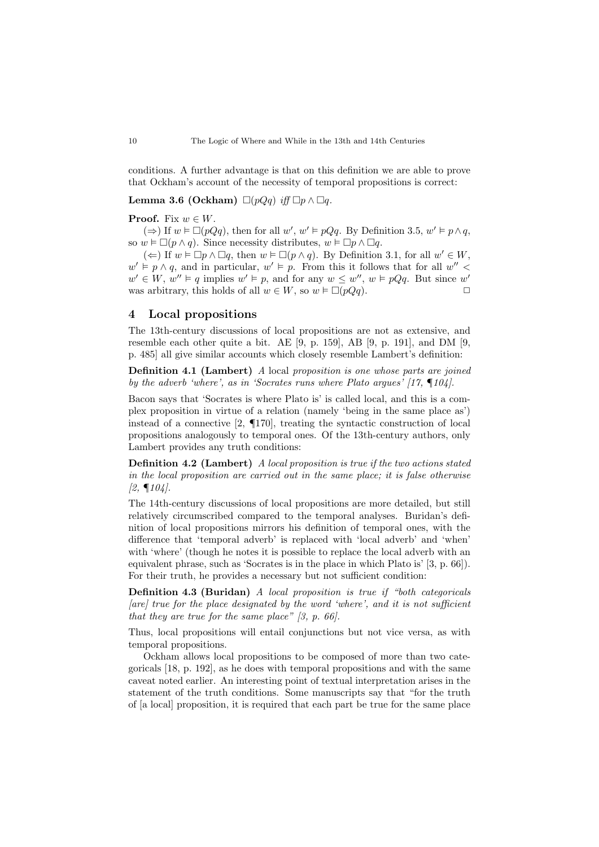conditions. A further advantage is that on this definition we are able to prove that Ockham's account of the necessity of temporal propositions is correct:

Lemma 3.6 (Ockham)  $\Box(pQq)$  iff  $\Box p \land \Box q$ .

#### **Proof.** Fix  $w \in W$ .

(⇒) If  $w \models \Box(pQq)$ , then for all  $w'$ ,  $w' \models pQq$ . By Definition [3.5,](#page-9-2)  $w' \models p \land q$ , so  $w \in \Box(p \land q)$ . Since necessity distributes,  $w \in \Box p \land \Box q$ .

(←) If  $w \vDash \Box p \land \Box q$ , then  $w \vDash \Box (p \land q)$ . By Definition [3.1,](#page-5-2) for all  $w' \in W$ ,  $w' \vDash p \land q$ , and in particular,  $w' \vDash p$ . From this it follows that for all  $w''$  $w' \in W$ ,  $w'' \models q$  implies  $w' \models p$ , and for any  $w \leq w''$ ,  $w \models pQq$ . But since w' was arbitrary, this holds of all  $w \in W$ , so  $w \in \Box(pQq)$ .  $\Box$ 

### <span id="page-10-0"></span>4 Local propositions

The 13th-century discussions of local propositions are not as extensive, and resemble each other quite a bit. AE [\[9,](#page-15-1) p. 159], AB [\[9,](#page-15-1) p. 191], and DM [\[9,](#page-15-1) p. 485] all give similar accounts which closely resemble Lambert's definition:

Definition 4.1 (Lambert) A local proposition is one whose parts are joined by the adverb 'where', as in 'Socrates runs where Plato argues' [\[17,](#page-16-0) ¶104].

Bacon says that 'Socrates is where Plato is' is called local, and this is a complex proposition in virtue of a relation (namely 'being in the same place as') instead of a connective [\[2,](#page-15-0) ¶170], treating the syntactic construction of local propositions analogously to temporal ones. Of the 13th-century authors, only Lambert provides any truth conditions:

Definition 4.2 (Lambert) A local proposition is true if the two actions stated in the local proposition are carried out in the same place; it is false otherwise  $[2, \P104]$  $[2, \P104]$ .

The 14th-century discussions of local propositions are more detailed, but still relatively circumscribed compared to the temporal analyses. Buridan's definition of local propositions mirrors his definition of temporal ones, with the difference that 'temporal adverb' is replaced with 'local adverb' and 'when' with 'where' (though he notes it is possible to replace the local adverb with an equivalent phrase, such as 'Socrates is in the place in which Plato is' [\[3,](#page-15-4) p. 66]). For their truth, he provides a necessary but not sufficient condition:

Definition 4.3 (Buridan) A local proposition is true if "both categoricals  $[are]$  true for the place designated by the word 'where', and it is not sufficient that they are true for the same place"  $[3, p. 66]$  $[3, p. 66]$ .

Thus, local propositions will entail conjunctions but not vice versa, as with temporal propositions.

Ockham allows local propositions to be composed of more than two categoricals [\[18,](#page-16-7) p. 192], as he does with temporal propositions and with the same caveat noted earlier. An interesting point of textual interpretation arises in the statement of the truth conditions. Some manuscripts say that "for the truth of [a local] proposition, it is required that each part be true for the same place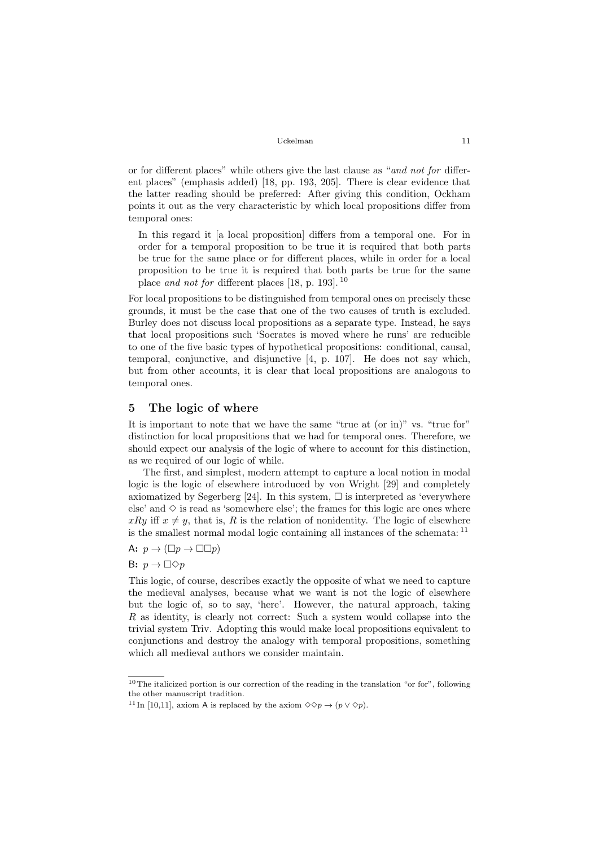or for different places" while others give the last clause as "and not for different places" (emphasis added) [\[18,](#page-16-7) pp. 193, 205]. There is clear evidence that the latter reading should be preferred: After giving this condition, Ockham points it out as the very characteristic by which local propositions differ from temporal ones:

In this regard it [a local proposition] differs from a temporal one. For in order for a temporal proposition to be true it is required that both parts be true for the same place or for different places, while in order for a local proposition to be true it is required that both parts be true for the same place and not for different places [\[18,](#page-16-7) p. 193]. [10](#page-11-1)

For local propositions to be distinguished from temporal ones on precisely these grounds, it must be the case that one of the two causes of truth is excluded. Burley does not discuss local propositions as a separate type. Instead, he says that local propositions such 'Socrates is moved where he runs' are reducible to one of the five basic types of hypothetical propositions: conditional, causal, temporal, conjunctive, and disjunctive [\[4,](#page-15-5) p. 107]. He does not say which, but from other accounts, it is clear that local propositions are analogous to temporal ones.

### <span id="page-11-0"></span>5 The logic of where

It is important to note that we have the same "true at (or in)" vs. "true for" distinction for local propositions that we had for temporal ones. Therefore, we should expect our analysis of the logic of where to account for this distinction, as we required of our logic of while.

The first, and simplest, modern attempt to capture a local notion in modal logic is the logic of elsewhere introduced by von Wright [\[29\]](#page-16-14) and completely axiomatized by Segerberg [\[24\]](#page-16-15). In this system,  $\Box$  is interpreted as 'everywhere else' and  $\Diamond$  is read as 'somewhere else'; the frames for this logic are ones where  $xRy$  iff  $x \neq y$ , that is, R is the relation of nonidentity. The logic of elsewhere is the smallest normal modal logic containing all instances of the schemata: [11](#page-11-2)

A:  $p \rightarrow (\Box p \rightarrow \Box \Box p)$ 

B:  $p \to \Box \Diamond p$ 

This logic, of course, describes exactly the opposite of what we need to capture the medieval analyses, because what we want is not the logic of elsewhere but the logic of, so to say, 'here'. However, the natural approach, taking R as identity, is clearly not correct: Such a system would collapse into the trivial system Triv. Adopting this would make local propositions equivalent to conjunctions and destroy the analogy with temporal propositions, something which all medieval authors we consider maintain.

<span id="page-11-1"></span><sup>10</sup>The italicized portion is our correction of the reading in the translation "or for", following the other manuscript tradition.

<span id="page-11-2"></span><sup>&</sup>lt;sup>11</sup> In [\[10](#page-15-7)[,11\]](#page-15-8), axiom A is replaced by the axiom  $\diamond \diamond p \rightarrow (p \vee \diamond p)$ .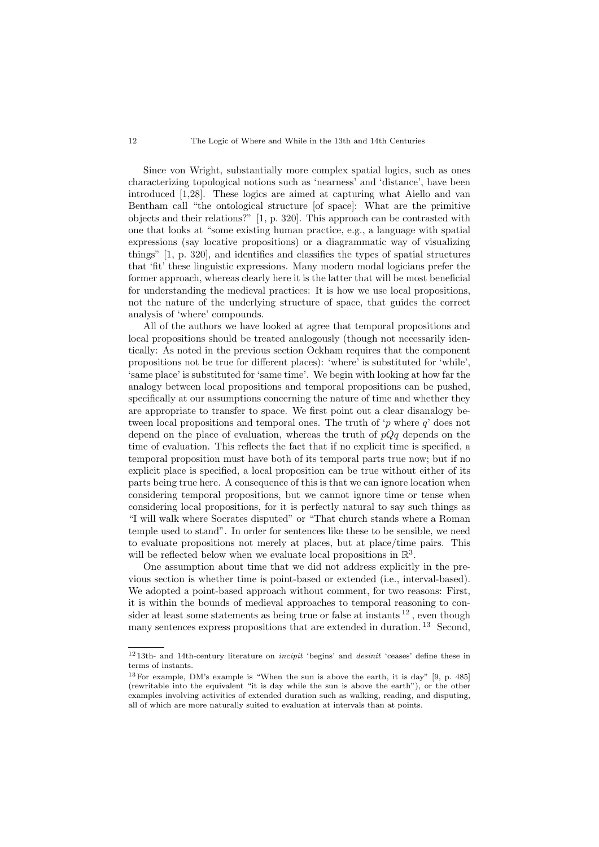#### 12 The Logic of Where and While in the 13th and 14th Centuries

Since von Wright, substantially more complex spatial logics, such as ones characterizing topological notions such as 'nearness' and 'distance', have been introduced [\[1,](#page-15-9)[28\]](#page-16-16). These logics are aimed at capturing what Aiello and van Bentham call "the ontological structure [of space]: What are the primitive objects and their relations?" [\[1,](#page-15-9) p. 320]. This approach can be contrasted with one that looks at "some existing human practice, e.g., a language with spatial expressions (say locative propositions) or a diagrammatic way of visualizing things" [\[1,](#page-15-9) p. 320], and identifies and classifies the types of spatial structures that 'fit' these linguistic expressions. Many modern modal logicians prefer the former approach, whereas clearly here it is the latter that will be most beneficial for understanding the medieval practices: It is how we use local propositions, not the nature of the underlying structure of space, that guides the correct analysis of 'where' compounds.

All of the authors we have looked at agree that temporal propositions and local propositions should be treated analogously (though not necessarily identically: As noted in the previous section Ockham requires that the component propositions not be true for different places): 'where' is substituted for 'while', 'same place' is substituted for 'same time'. We begin with looking at how far the analogy between local propositions and temporal propositions can be pushed, specifically at our assumptions concerning the nature of time and whether they are appropriate to transfer to space. We first point out a clear disanalogy between local propositions and temporal ones. The truth of 'p where  $q$ ' does not depend on the place of evaluation, whereas the truth of  $pQq$  depends on the time of evaluation. This reflects the fact that if no explicit time is specified, a temporal proposition must have both of its temporal parts true now; but if no explicit place is specified, a local proposition can be true without either of its parts being true here. A consequence of this is that we can ignore location when considering temporal propositions, but we cannot ignore time or tense when considering local propositions, for it is perfectly natural to say such things as "I will walk where Socrates disputed" or "That church stands where a Roman temple used to stand". In order for sentences like these to be sensible, we need to evaluate propositions not merely at places, but at place/time pairs. This will be reflected below when we evaluate local propositions in  $\mathbb{R}^3$ .

One assumption about time that we did not address explicitly in the previous section is whether time is point-based or extended (i.e., interval-based). We adopted a point-based approach without comment, for two reasons: First, it is within the bounds of medieval approaches to temporal reasoning to consider at least some statements as being true or false at instants  $^{12}$  $^{12}$  $^{12}$ , even though many sentences express propositions that are extended in duration.<sup>[13](#page-12-1)</sup> Second,

<span id="page-12-0"></span> $12$  13th- and 14th-century literature on *incipit* 'begins' and *desinit* 'ceases' define these in terms of instants.

<span id="page-12-1"></span><sup>13</sup>For example, DM's example is "When the sun is above the earth, it is day" [\[9,](#page-15-1) p. 485] (rewritable into the equivalent "it is day while the sun is above the earth"), or the other examples involving activities of extended duration such as walking, reading, and disputing, all of which are more naturally suited to evaluation at intervals than at points.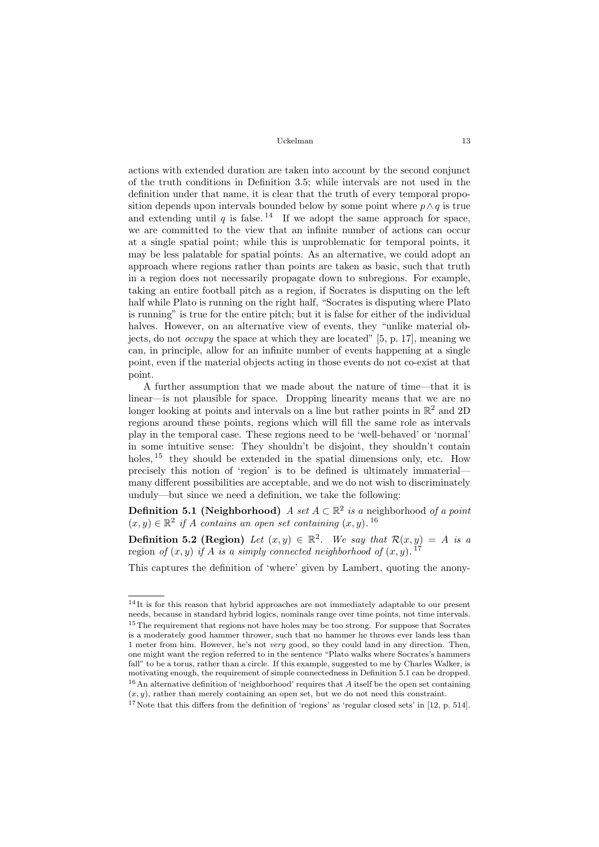actions with extended duration are taken into account by the second conjunct of the truth conditions in Definition [3.5;](#page-9-2) while intervals are not used in the definition under that name, it is clear that the truth of every temporal proposition depends upon intervals bounded below by some point where  $p \wedge q$  is true and extending until q is false.<sup>[14](#page-13-0)</sup> If we adopt the same approach for space, we are committed to the view that an infinite number of actions can occur at a single spatial point; while this is unproblematic for temporal points, it may be less palatable for spatial points. As an alternative, we could adopt an approach where regions rather than points are taken as basic, such that truth in a region does not necessarily propagate down to subregions. For example, taking an entire football pitch as a region, if Socrates is disputing on the left half while Plato is running on the right half, "Socrates is disputing where Plato is running" is true for the entire pitch; but it is false for either of the individual halves. However, on an alternative view of events, they "unlike material objects, do not *occupy* the space at which they are located" [\[5,](#page-15-10) p. 17], meaning we can, in principle, allow for an infinite number of events happening at a single point, even if the material objects acting in those events do not co-exist at that point.

A further assumption that we made about the nature of time—that it is linear—is not plausible for space. Dropping linearity means that we are no longer looking at points and intervals on a line but rather points in  $\mathbb{R}^2$  and 2D regions around these points, regions which will fill the same role as intervals play in the temporal case. These regions need to be 'well-behaved' or 'normal' in some intuitive sense: They shouldn't be disjoint, they shouldn't contain holes, <sup>[15](#page-13-1)</sup> they should be extended in the spatial dimensions only, etc. How precisely this notion of 'region' is to be defined is ultimately immaterial many different possibilities are acceptable, and we do not wish to discriminately unduly—but since we need a definition, we take the following:

<span id="page-13-4"></span>**Definition 5.1 (Neighborhood)** A set  $A \subset \mathbb{R}^2$  is a neighborhood of a point  $(x, y) \in \mathbb{R}^2$  if A contains an open set containing  $(x, y)$ . <sup>[16](#page-13-2)</sup>

**Definition 5.2 (Region)** Let  $(x, y) \in \mathbb{R}^2$ . We say that  $\mathcal{R}(x, y) = A$  is a region of  $(x, y)$  if A is a simply connected neighborhood of  $(x, y)$ .<sup>[17](#page-13-3)</sup>

This captures the definition of 'where' given by Lambert, quoting the anony-

<span id="page-13-1"></span><span id="page-13-0"></span><sup>&</sup>lt;sup>14</sup>It is for this reason that hybrid approaches are not immediately adaptable to our present needs, because in standard hybrid logics, nominals range over time points, not time intervals. <sup>15</sup>The requirement that regions not have holes may be too strong. For suppose that Socrates is a moderately good hammer thrower, such that no hammer he throws ever lands less than 1 meter from him. However, he's not very good, so they could land in any direction. Then, one might want the region referred to in the sentence "Plato walks where Socrates's hammers fall" to be a torus, rather than a circle. If this example, suggested to me by Charles Walker, is motivating enough, the requirement of simple connectedness in Definition [5.1](#page-13-4) can be dropped.  $16$  An alternative definition of 'neighborhood' requires that A itself be the open set containing  $(x, y)$ , rather than merely containing an open set, but we do not need this constraint.

<span id="page-13-3"></span><span id="page-13-2"></span><sup>&</sup>lt;sup>17</sup>Note that this differs from the definition of 'regions' as 'regular closed sets' in [\[12,](#page-16-17) p. 514].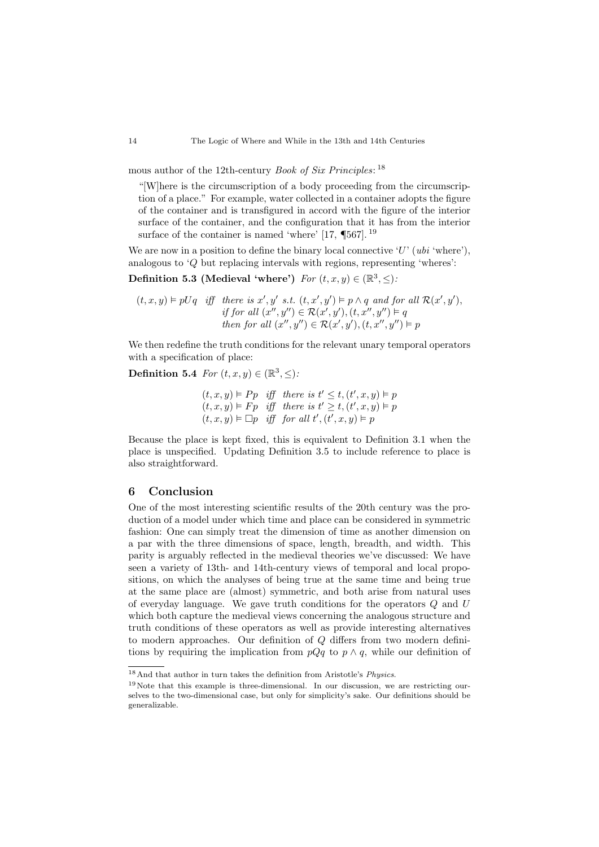mous author of the 12th-century *Book of Six Principles*: <sup>[18](#page-14-1)</sup>

"[W]here is the circumscription of a body proceeding from the circumscription of a place." For example, water collected in a container adopts the figure of the container and is transfigured in accord with the figure of the interior surface of the container, and the configuration that it has from the interior surface of the container is named 'where' [\[17,](#page-16-0)  $\P$ 567].<sup>[19](#page-14-2)</sup>

We are now in a position to define the binary local connective  $'U'$  (ubi 'where'), analogous to 'Q but replacing intervals with regions, representing 'wheres':

Definition 5.3 (Medieval 'where')  $For (t, x, y) \in (\mathbb{R}^3, \leq).$ 

 $(t, x, y) \models pUq$  iff there is x', y' s.t.  $(t, x', y') \models p \land q$  and for all  $\mathcal{R}(x', y')$ , if for all  $(x'', y'') \in \mathcal{R}(x', y'), (t, x'', y'') \models q$ then for all  $(x'', y'') \in \mathcal{R}(x', y'), (t, x'', y'') \models p$ 

We then redefine the truth conditions for the relevant unary temporal operators with a specification of place:

Definition 5.4 For  $(t, x, y) \in (\mathbb{R}^3, \leq)$ :

 $(t, x, y) \vDash Pp$  iff there is  $t' \leq t, (t', x, y) \vDash p$  $(t, x, y) \vDash Fp$  iff there is  $t' \geq t, (t', x, y) \vDash p$  $(t, x, y) \vDash \Box p$  iff for all  $t', (t', x, y) \vDash p$ 

Because the place is kept fixed, this is equivalent to Definition [3.1](#page-5-2) when the place is unspecified. Updating Definition [3.5](#page-9-2) to include reference to place is also straightforward.

### <span id="page-14-0"></span>6 Conclusion

One of the most interesting scientific results of the 20th century was the production of a model under which time and place can be considered in symmetric fashion: One can simply treat the dimension of time as another dimension on a par with the three dimensions of space, length, breadth, and width. This parity is arguably reflected in the medieval theories we've discussed: We have seen a variety of 13th- and 14th-century views of temporal and local propositions, on which the analyses of being true at the same time and being true at the same place are (almost) symmetric, and both arise from natural uses of everyday language. We gave truth conditions for the operators Q and U which both capture the medieval views concerning the analogous structure and truth conditions of these operators as well as provide interesting alternatives to modern approaches. Our definition of Q differs from two modern definitions by requiring the implication from  $pQq$  to  $p \wedge q$ , while our definition of

<span id="page-14-1"></span><sup>18</sup>And that author in turn takes the definition from Aristotle's Physics.

<span id="page-14-2"></span><sup>19</sup>Note that this example is three-dimensional. In our discussion, we are restricting ourselves to the two-dimensional case, but only for simplicity's sake. Our definitions should be generalizable.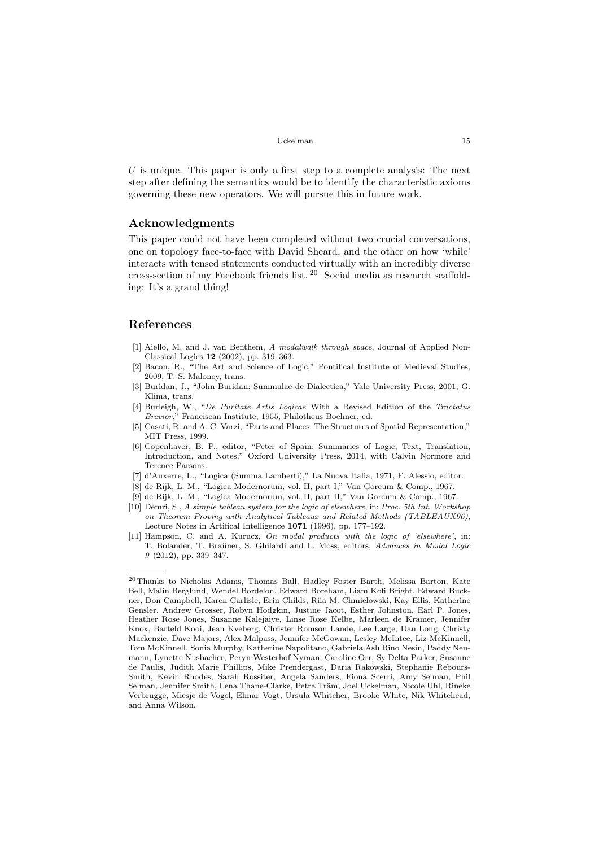```
Uckelman 15
```
 $U$  is unique. This paper is only a first step to a complete analysis: The next step after defining the semantics would be to identify the characteristic axioms governing these new operators. We will pursue this in future work.

# Acknowledgments

This paper could not have been completed without two crucial conversations, one on topology face-to-face with David Sheard, and the other on how 'while' interacts with tensed statements conducted virtually with an incredibly diverse cross-section of my Facebook friends list. [20](#page-15-11) Social media as research scaffolding: It's a grand thing!

## References

- <span id="page-15-9"></span>[1] Aiello, M. and J. van Benthem, A modalwalk through space, Journal of Applied Non-Classical Logics 12 (2002), pp. 319–363.
- <span id="page-15-0"></span>[2] Bacon, R., "The Art and Science of Logic," Pontifical Institute of Medieval Studies, 2009, T. S. Maloney, trans.
- <span id="page-15-4"></span>[3] Buridan, J., "John Buridan: Summulae de Dialectica," Yale University Press, 2001, G. Klima, trans.
- <span id="page-15-5"></span>[4] Burleigh, W., "De Puritate Artis Logicae With a Revised Edition of the Tractatus Brevior," Franciscan Institute, 1955, Philotheus Boehner, ed.
- <span id="page-15-10"></span>[5] Casati, R. and A. C. Varzi, "Parts and Places: The Structures of Spatial Representation," MIT Press, 1999.
- <span id="page-15-3"></span>[6] Copenhaver, B. P., editor, "Peter of Spain: Summaries of Logic, Text, Translation, Introduction, and Notes," Oxford University Press, 2014, with Calvin Normore and Terence Parsons.
- <span id="page-15-6"></span>[7] d'Auxerre, L., "Logica (Summa Lamberti)," La Nuova Italia, 1971, F. Alessio, editor.
- <span id="page-15-2"></span>[8] de Rijk, L. M., "Logica Modernorum, vol. II, part I," Van Gorcum & Comp., 1967.
- <span id="page-15-1"></span>[9] de Rijk, L. M., "Logica Modernorum, vol. II, part II," Van Gorcum & Comp., 1967.
- <span id="page-15-7"></span>[10] Demri, S., A simple tableau system for the logic of elsewhere, in: Proc. 5th Int. Workshop on Theorem Proving with Analytical Tableaux and Related Methods (TABLEAUX96), Lecture Notes in Artifical Intelligence 1071 (1996), pp. 177–192.
- <span id="page-15-8"></span>[11] Hampson, C. and A. Kurucz, On modal products with the logic of 'elsewhere', in: T. Bolander, T. Braüner, S. Ghilardi and L. Moss, editors, Advances in Modal Logic 9 (2012), pp. 339–347.

<span id="page-15-11"></span><sup>20</sup>Thanks to Nicholas Adams, Thomas Ball, Hadley Foster Barth, Melissa Barton, Kate Bell, Malin Berglund, Wendel Bordelon, Edward Boreham, Liam Kofi Bright, Edward Buckner, Don Campbell, Karen Carlisle, Erin Childs, Riia M. Chmielowski, Kay Ellis, Katherine Gensler, Andrew Grosser, Robyn Hodgkin, Justine Jacot, Esther Johnston, Earl P. Jones, Heather Rose Jones, Susanne Kalejaiye, Linse Rose Kelbe, Marleen de Kramer, Jennifer Knox, Barteld Kooi, Jean Kveberg, Christer Romson Lande, Lee Large, Dan Long, Christy Mackenzie, Dave Majors, Alex Malpass, Jennifer McGowan, Lesley McIntee, Liz McKinnell, Tom McKinnell, Sonia Murphy, Katherine Napolitano, Gabriela Aslı Rino Nesin, Paddy Neumann, Lynette Nusbacher, Peryn Westerhof Nyman, Caroline Orr, Sy Delta Parker, Susanne de Paulis, Judith Marie Phillips, Mike Prendergast, Daria Rakowski, Stephanie Rebours-Smith, Kevin Rhodes, Sarah Rossiter, Angela Sanders, Fiona Scerri, Amy Selman, Phil Selman, Jennifer Smith, Lena Thane-Clarke, Petra Träm, Joel Uckelman, Nicole Uhl, Rineke Verbrugge, Miesje de Vogel, Elmar Vogt, Ursula Whitcher, Brooke White, Nik Whitehead, and Anna Wilson.